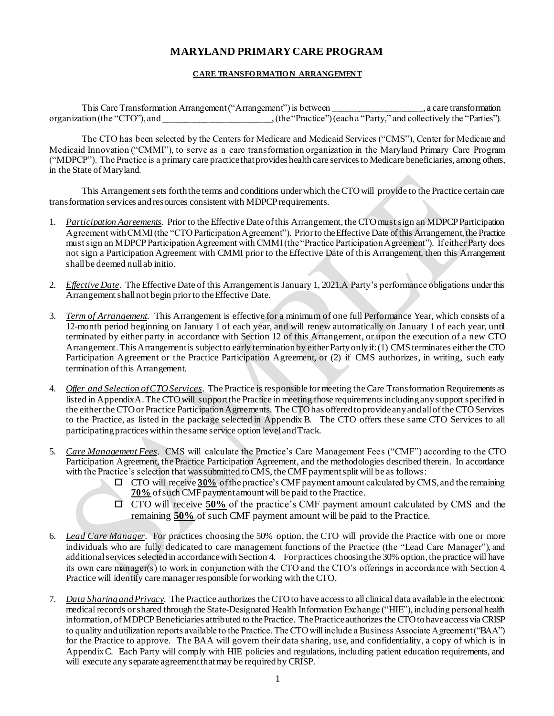#### **CARE TRANSFO RMATIO N ARRANGEMENT**

This Care Transformation Arrangement ("Arrangement") is between \_\_\_\_\_\_\_\_\_\_\_\_\_\_\_\_\_\_\_\_\_, a care transformation organization (the "CTO"), and \_\_\_\_\_\_\_\_\_\_\_\_\_\_\_\_\_\_\_\_\_\_\_\_, (the "Practice") (each a "Party," and collectively the "Parties").

The CTO has been selected by the Centers for Medicare and Medicaid Services ("CMS"), Center for Medicare and Medicaid Innovation ("CMMI"), to serve as a care transformation organization in the Maryland Primary Care Program ("MDPCP"). The Practice is a primary care practice that provides health care services to Medicare beneficiaries, among others, in the State of Maryland.

This Arrangement sets forth the terms and conditions under which the CTO will provide to the Practice certain care transformation services and resources consistent with MDPCP requirements.

- 1. *Participation Agreements*. Prior to the Effective Date of this Arrangement, the CTO must sign an MDPCP Participation Agreement with CMMI (the "CTO Participation Agreement"). Prior to the Effective Date of this Arrangement, the Practice must sign an MDPCP Participation Agreement with CMMI (the "Practice Participation Agreement"). If either Party does not sign a Participation Agreement with CMMI prior to the Effective Date of this Arrangement, then this Arrangement shall be deemed null ab initio.
- 2. *Effective Date*. The Effective Date of this Arrangement is January 1, 2021. A Party's performance obligations under this Arrangement shall not begin prior to the Effective Date.
- 3. *Term of Arrangement*. This Arrangement is effective for a minimum of one full Performance Year, which consists of a 12-month period beginning on January 1 of each year, and will renew automatically on January 1 of each year, until terminated by either party in accordance with Section 12 of this Arrangement, or upon the execution of a new CTO Arrangement. This Arrangement is subject to early termination by either Party only if: (1) CMS terminates either the CTO Participation Agreement or the Practice Participation Agreement, or (2) if CMS authorizes, in writing, such early termination of this Arrangement.
- 4. *Offer and Selection of CTO Services*. The Practice is responsible for meeting the Care Transformation Requirements as listed in Appendix A. The CTO will support the Practice in meeting those requirements including any support specified in the either the CTO or Practice Participation Agreements. The CTO has offered to provide any and all of the CTO Services to the Practice, as listed in the package selected in Appendix B. The CTO offers these same CTO Services to all participating practices within the same service option level and Track.
- 5. *Care Management Fees*. CMS will calculate the Practice's Care Management Fees ("CMF") according to the CTO Participation Agreement, the Practice Participation Agreement, and the methodologies described therein. In accordance with the Practice's selection that was submitted to CMS, the CMF payment split will be as follows:
	- CTO will receive **30%** of the practice's CMF payment amount calculated by CMS, and the remaining **70%** of such CMF payment amount will be paid to the Practice.
	- CTO will receive **50%** of the practice's CMF payment amount calculated by CMS and the remaining **50%** of such CMF payment amount will be paid to the Practice.
- 6. *Lead Care Manager*. For practices choosing the 50% option, the CTO will provide the Practice with one or more individuals who are fully dedicated to care management functions of the Practice (the "Lead Care Manager"), and additional services selected in accordance with Section 4. For practices choosing the 30% option, the practice will have its own care manager(s) to work in conjunction with the CTO and the CTO's offerings in accordance with Section 4. Practice will identify care manager responsible for working with the CTO.
- 7. *Data Sharing and Privacy*. The Practice authorizes the CTO to have access to all clinical data available in the electronic medical records or shared through the State-Designated Health Information Exchange ("HIE"), including personal health information, of MDPCP Beneficiaries attributed to the Practice. The Practice authorizes the CTO to have access via CRISP to quality and utilization reports available to the Practice. The CTO will include a Business Associate Agreement ("BAA") for the Practice to approve. The BAA will govern their data sharing, use, and confidentiality, a copy of which is in Appendix C. Each Party will comply with HIE policies and regulations, including patient education requirements, and will execute any separate agreement that may be required by CRISP.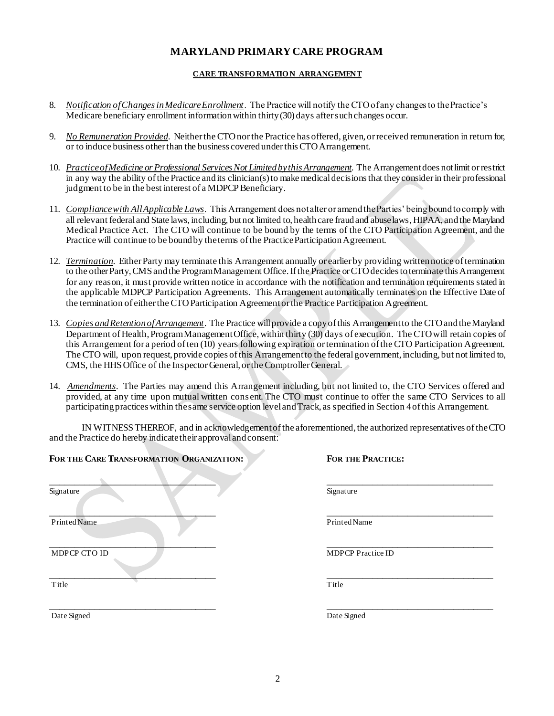#### **CARE TRANSFO RMATIO N ARRANGEMENT**

- 8. *Notification of Changes in Medicare Enrollment*. The Practice will notify the CTO of any changes to the Practice's Medicare beneficiary enrollment information within thirty (30) days after such changes occur.
- 9. *No Remuneration Provided*. Neither the CTO nor the Practice has offered, given, or received remuneration in return for, or to induce business other than the business covered under this CTO Arrangement.
- 10. *Practice of Medicine or Professional Services Not Limited by this Arrangement*. The Arrangement does not limit or restrict in any way the ability of the Practice and its clinician(s) to make medical decisions that they consider in their professional judgment to be in the best interest of a MDPCP Beneficiary.
- 11. *Compliance with All Applicable Laws*. This Arrangement does not alter or amend the Parties' being bound to comply with all relevant federal and State laws, including, but not limited to, health care fraud and abuse laws, HIPAA, and the Maryland Medical Practice Act. The CTO will continue to be bound by the terms of the CTO Participation Agreement, and the Practice will continue to be bound by the terms of the Practice Participation Agreement.
- 12. *Termination*. Either Party may terminate this Arrangement annually or earlier by providing written notice of termination to the other Party, CMS and the Program Management Office. If the Practice or CTO decides to terminate this Arrangement for any reason, it must provide written notice in accordance with the notification and termination requirements stated in the applicable MDPCP Participation Agreements. This Arrangement automatically terminates on the Effective Date of the termination of either the CTO Participation Agreement or the Practice Participation Agreement.
- 13. *Copies and Retention of Arrangement*. The Practice will provide a copy of this Arrangement to the CTO and the Maryland Department of Health, Program Management Office, within thirty (30) days of execution. The CTO will retain copies of this Arrangement for a period of ten (10) years following expiration or termination of the CTO Participation Agreement. The CTO will, upon request, provide copies of this Arrangement to the federal government, including, but not limited to, CMS, the HHS Office of the Inspector General, or the Comptroller General.
- 14. *Amendments*. The Parties may amend this Arrangement including, but not limited to, the CTO Services offered and provided, at any time upon mutual written cons ent. The CTO must continue to offer the same CTO Services to all participating practices within the same service option level and Track, as specified in Section 4 of this Arrangement.

IN WITNESS THEREOF, and in acknowledgement of the aforementioned, the authorized representatives of the CTO and the Practice do hereby indicate their approval and consent:

| FOR THE CARE TRANSFORMATION ORGANIZATION: | <b>FOR THE PRACTICE:</b> |
|-------------------------------------------|--------------------------|
| Signature                                 | Signature                |
| <b>Printed Name</b>                       | Printed Name             |
| MDPCP CTO ID                              | <b>MDPCP</b> Practice ID |
| Title                                     | Title                    |
| Date Signed                               | Date Signed              |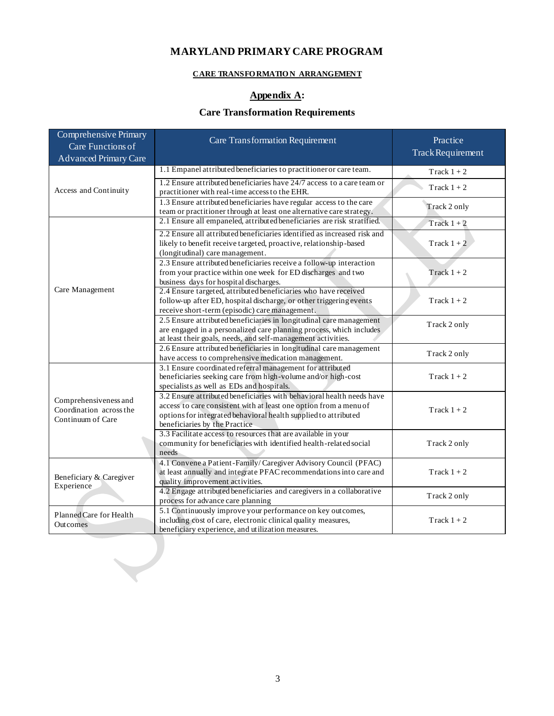### **CARE TRANSFO RMATIO N ARRANGEMENT**

## **Appendix A:**

## **Care Transformation Requirements**

| <b>Comprehensive Primary</b><br>Care Functions of<br><b>Advanced Primary Care</b> | <b>Care Transformation Requirement</b>                                                                                                                                                                                                         | Practice<br><b>Track Requirement</b> |
|-----------------------------------------------------------------------------------|------------------------------------------------------------------------------------------------------------------------------------------------------------------------------------------------------------------------------------------------|--------------------------------------|
|                                                                                   | 1.1 Empanel attributed beneficiaries to practitioner or care team.                                                                                                                                                                             | Track $1+2$                          |
| Access and Continuity                                                             | 1.2 Ensure attributed beneficiaries have 24/7 access to a care team or<br>practitioner with real-time access to the EHR.                                                                                                                       | Track $1+2$                          |
|                                                                                   | 1.3 Ensure attributed beneficiaries have regular access to the care<br>team or practitioner through at least one alternative care strategy.                                                                                                    | Track 2 only                         |
|                                                                                   | 2.1 Ensure all empaneled, attributed beneficiaries are risk stratified.                                                                                                                                                                        | Track $1+2$                          |
|                                                                                   | 2.2 Ensure all attributed beneficiaries identified as increased risk and<br>likely to benefit receive targeted, proactive, relationship-based<br>(longitudinal) care management.                                                               | Track $1+2$                          |
|                                                                                   | 2.3 Ensure attributed beneficiaries receive a follow-up interaction<br>from your practice within one week for ED discharges and two<br>business days for hospital discharges.                                                                  | Track $1+2$                          |
| Care Management                                                                   | 2.4 Ensure targeted, attributed beneficiaries who have received<br>follow-up after ED, hospital discharge, or other triggering events<br>receive short-term (episodic) care management.                                                        | Track $1+2$                          |
|                                                                                   | 2.5 Ensure attributed beneficiaries in longitudinal care management<br>are engaged in a personalized care planning process, which includes<br>at least their goals, needs, and self-management activities.                                     | Track 2 only                         |
|                                                                                   | 2.6 Ensure attributed beneficiaries in longitudinal care management<br>have access to comprehensive medication management.                                                                                                                     | Track 2 only                         |
|                                                                                   | 3.1 Ensure coordinated referral management for attributed<br>beneficiaries seeking care from high-volume and/or high-cost<br>specialists as well as EDs and hospitals.                                                                         | Track $1+2$                          |
| Comprehensiveness and<br>Coordination across the<br>Continuum of Care             | 3.2 Ensure attributed beneficiaries with behavioral health needs have<br>access to care consistent with at least one option from a menu of<br>options for integrated behavioral health supplied to attributed<br>beneficiaries by the Practice | Track $1+2$                          |
|                                                                                   | 3.3 Facilitate access to resources that are available in your<br>community for beneficiaries with identified health-related social<br>needs                                                                                                    | Track 2 only                         |
| Beneficiary & Caregiver<br>Experience                                             | 4.1 Convene a Patient-Family/Caregiver Advisory Council (PFAC)<br>at least annually and integrate PFAC recommendations into care and<br>quality improvement activities.                                                                        | Track $1+2$                          |
|                                                                                   | 4.2 Engage attributed beneficiaries and caregivers in a collaborative<br>process for advance care planning                                                                                                                                     | Track 2 only                         |
| Planned Care for Health<br>Outcomes                                               | 5.1 Continuously improve your performance on key outcomes,<br>including cost of care, electronic clinical quality measures,<br>beneficiary experience, and utilization measures.                                                               | Track $1+2$                          |

 $\bigcup$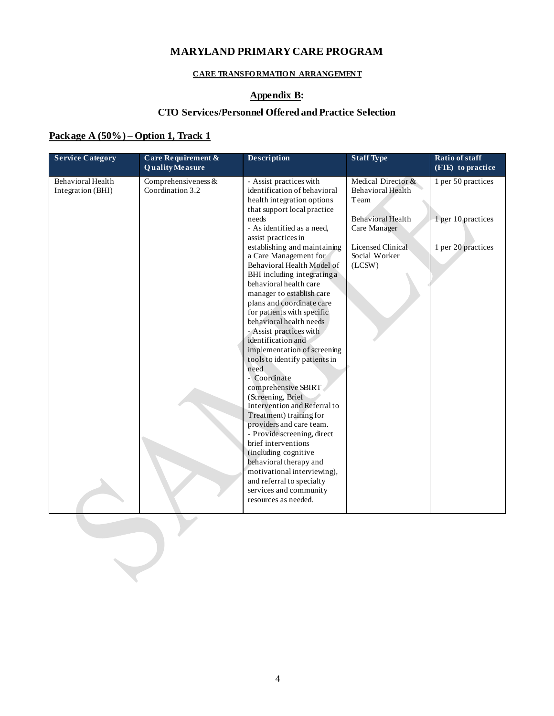#### **CARE TRANSFO RMATIO N ARRANGEMENT**

## **Appendix B:**

### **CTO Services/Personnel Offered and Practice Selection**

### **Package A (50%) – Option 1, Track 1**

| <b>Service Category</b>                | <b>Care Requirement &amp;</b><br><b>Quality Measure</b> | <b>Description</b>                                                                                                                                                                                                                                                                                                                                                                                                                                                                                                                                                                                                                                                                                                                                                                                                                                                                                                                                      | <b>Staff Type</b>                                                                                                                           | Ratio of staff<br>(FTE) to practice                            |
|----------------------------------------|---------------------------------------------------------|---------------------------------------------------------------------------------------------------------------------------------------------------------------------------------------------------------------------------------------------------------------------------------------------------------------------------------------------------------------------------------------------------------------------------------------------------------------------------------------------------------------------------------------------------------------------------------------------------------------------------------------------------------------------------------------------------------------------------------------------------------------------------------------------------------------------------------------------------------------------------------------------------------------------------------------------------------|---------------------------------------------------------------------------------------------------------------------------------------------|----------------------------------------------------------------|
| Behavioral Health<br>Integration (BHI) | Comprehensiveness $&$<br>Coordination 3.2               | - Assist practices with<br>identification of behavioral<br>health integration options<br>that support local practice<br>needs<br>- As identified as a need,<br>assist practices in<br>establishing and maintaining<br>a Care Management for<br>Behavioral Health Model of<br>BHI including integrating a<br>behavioral health care<br>manager to establish care<br>plans and coordinate care<br>for patients with specific<br>behavioral health needs<br>- Assist practices with<br>identification and<br>implementation of screening<br>tools to identify patients in<br>need<br>- Coordinate<br>comprehensive SBIRT<br>(Screening, Brief<br>Intervention and Referral to<br>Treatment) training for<br>providers and care team.<br>- Provide screening, direct<br>brief interventions<br>(including cognitive<br>behavioral therapy and<br>motivational interviewing),<br>and referral to specialty<br>services and community<br>resources as needed. | Medical Director &<br>Behavioral Health<br>Team<br>Behavioral Health<br>Care Manager<br><b>Licensed Clinical</b><br>Social Worker<br>(LCSW) | 1 per 50 practices<br>1 per 10 practices<br>1 per 20 practices |
|                                        |                                                         |                                                                                                                                                                                                                                                                                                                                                                                                                                                                                                                                                                                                                                                                                                                                                                                                                                                                                                                                                         |                                                                                                                                             |                                                                |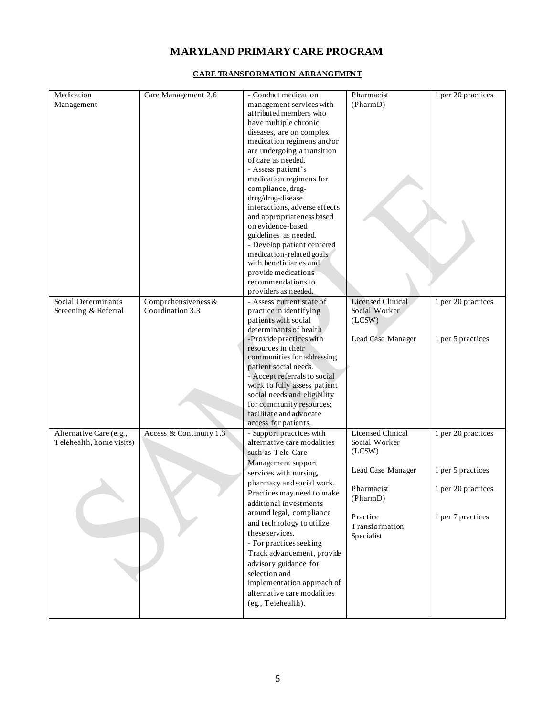| Medication               | Care Management 2.6     | - Conduct medication                            | Pharmacist               | 1 per 20 practices |
|--------------------------|-------------------------|-------------------------------------------------|--------------------------|--------------------|
| Management               |                         | management services with                        | (PharmD)                 |                    |
|                          |                         | attributed members who                          |                          |                    |
|                          |                         | have multiple chronic                           |                          |                    |
|                          |                         | diseases, are on complex                        |                          |                    |
|                          |                         | medication regimens and/or                      |                          |                    |
|                          |                         | are undergoing a transition                     |                          |                    |
|                          |                         | of care as needed.                              |                          |                    |
|                          |                         | - Assess patient's                              |                          |                    |
|                          |                         | medication regimens for                         |                          |                    |
|                          |                         | compliance, drug-                               |                          |                    |
|                          |                         | drug/drug-disease                               |                          |                    |
|                          |                         | interactions, adverse effects                   |                          |                    |
|                          |                         | and appropriateness based                       |                          |                    |
|                          |                         | on evidence-based                               |                          |                    |
|                          |                         | guidelines as needed.                           |                          |                    |
|                          |                         | - Develop patient centered                      |                          |                    |
|                          |                         | medication-related goals                        |                          |                    |
|                          |                         | with beneficiaries and                          |                          |                    |
|                          |                         | provide medications<br>recommendations to       |                          |                    |
|                          |                         | providers as needed.                            |                          |                    |
| Social Determinants      | Comprehensiveness $&$   | - Assess current state of                       | <b>Licensed Clinical</b> | 1 per 20 practices |
| Screening & Referral     | Coordination 3.3        |                                                 | Social Worker            |                    |
|                          |                         | practice in identifying<br>patients with social | (LCSW)                   |                    |
|                          |                         | determinants of health                          |                          |                    |
|                          |                         | -Provide practices with                         | Lead Case Manager        | 1 per 5 practices  |
|                          |                         | resources in their                              |                          |                    |
|                          |                         | communities for addressing                      |                          |                    |
|                          |                         | patient social needs.                           |                          |                    |
|                          |                         | - Accept referrals to social                    |                          |                    |
|                          |                         | work to fully assess patient                    |                          |                    |
|                          |                         | social needs and eligibility                    |                          |                    |
|                          |                         | for community resources;                        |                          |                    |
|                          |                         | facilitate and advocate                         |                          |                    |
|                          |                         | access for patients.                            |                          |                    |
| Alternative Care (e.g.,  | Access & Continuity 1.3 | - Support practices with                        | <b>Licensed Clinical</b> | 1 per 20 practices |
| Telehealth, home visits) |                         | alternative care modalities                     | Social Worker            |                    |
|                          |                         | such as Tele-Care                               | (LCSW)                   |                    |
|                          |                         | Management support                              |                          |                    |
|                          |                         | services with nursing,                          | Lead Case Manager        | 1 per 5 practices  |
|                          |                         | pharmacy and social work.                       |                          |                    |
|                          |                         | Practices may need to make                      | Pharmacist<br>(PharmD)   | 1 per 20 practices |
|                          |                         | additional investments                          |                          |                    |
|                          |                         | around legal, compliance                        | Practice                 | 1 per 7 practices  |
|                          |                         | and technology to utilize                       | Transformation           |                    |
|                          |                         | these services.                                 | Specialist               |                    |
|                          |                         | - For practices seeking                         |                          |                    |
|                          |                         | Track advancement, provide                      |                          |                    |
|                          |                         | advisory guidance for                           |                          |                    |
|                          |                         | selection and                                   |                          |                    |
|                          |                         | implementation approach of                      |                          |                    |
|                          |                         | alternative care modalities                     |                          |                    |
|                          |                         | (eg., Telehealth).                              |                          |                    |
|                          |                         |                                                 |                          |                    |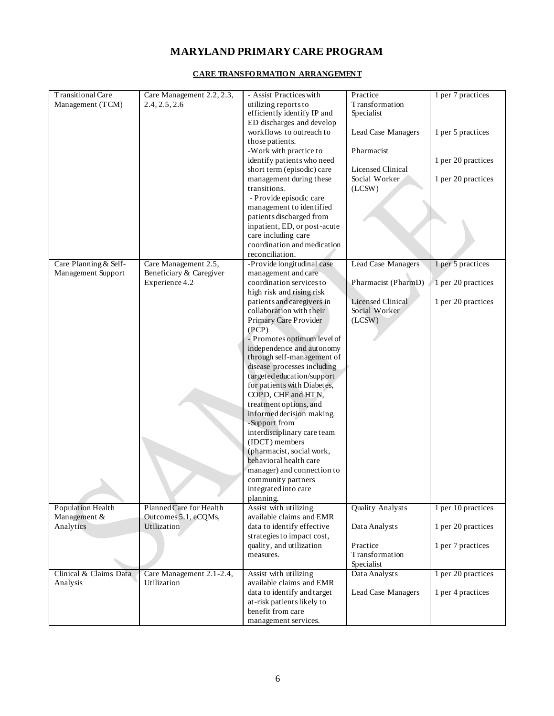| <b>Transitional Care</b><br>Management (TCM) | Care Management 2.2, 2.3,<br>2.4, 2.5, 2.6      | - Assist Practices with<br>utilizing reports to          | Practice<br>Transformation | 1 per 7 practices  |
|----------------------------------------------|-------------------------------------------------|----------------------------------------------------------|----------------------------|--------------------|
|                                              |                                                 | efficiently identify IP and<br>ED discharges and develop | Specialist                 |                    |
|                                              |                                                 | workflows to outreach to                                 | Lead Case Managers         | 1 per 5 practices  |
|                                              |                                                 | those patients.                                          |                            |                    |
|                                              |                                                 | -Work with practice to                                   | Pharmacist                 |                    |
|                                              |                                                 | identify patients who need                               |                            | 1 per 20 practices |
|                                              |                                                 | short term (episodic) care                               | <b>Licensed Clinical</b>   |                    |
|                                              |                                                 | management during these                                  | Social Worker              | 1 per 20 practices |
|                                              |                                                 | transitions.                                             | (LCSW)                     |                    |
|                                              |                                                 | - Provide episodic care                                  |                            |                    |
|                                              |                                                 | management to identified                                 |                            |                    |
|                                              |                                                 | patients discharged from                                 |                            |                    |
|                                              |                                                 | inpatient, ED, or post-acute<br>care including care      |                            |                    |
|                                              |                                                 | coordination and medication                              |                            |                    |
|                                              |                                                 | reconciliation.                                          |                            |                    |
| Care Planning & Self-                        | Care Management 2.5,                            | -Provide longitudinal case                               | Lead Case Managers         | 1 per 5 practices  |
| Management Support                           | Beneficiary & Caregiver                         | management and care                                      |                            |                    |
|                                              | Experience 4.2                                  | coordination services to                                 | Pharmacist (PharmD)        | 1 per 20 practices |
|                                              |                                                 | high risk and rising risk                                |                            |                    |
|                                              |                                                 | patients and caregivers in                               | <b>Licensed Clinical</b>   | 1 per 20 practices |
|                                              |                                                 | collaboration with their                                 | Social Worker              |                    |
|                                              |                                                 | Primary Care Provider<br>(PCP)                           | (LCSW)                     |                    |
|                                              |                                                 | - Promotes optimum level of                              |                            |                    |
|                                              |                                                 | independence and autonomy                                |                            |                    |
|                                              |                                                 | through self-management of                               |                            |                    |
|                                              |                                                 | disease processes including                              |                            |                    |
|                                              |                                                 | targeted education/support                               |                            |                    |
|                                              |                                                 | for patients with Diabetes,                              |                            |                    |
|                                              |                                                 | COPD, CHF and HTN,                                       |                            |                    |
|                                              |                                                 | treatment options, and                                   |                            |                    |
|                                              |                                                 | informed decision making.<br>-Support from               |                            |                    |
|                                              |                                                 | interdisciplinary care team                              |                            |                    |
|                                              |                                                 | (IDCT) members                                           |                            |                    |
|                                              |                                                 | (pharmacist, social work,                                |                            |                    |
|                                              |                                                 | behavioral health care                                   |                            |                    |
|                                              |                                                 | manager) and connection to                               |                            |                    |
|                                              |                                                 | community partners                                       |                            |                    |
|                                              |                                                 | integrated into care                                     |                            |                    |
|                                              |                                                 | planning.                                                |                            |                    |
| Population Health<br>Management &            | Planned Care for Health<br>Outcomes 5.1, eCQMs, | Assist with utilizing<br>available claims and EMR        | <b>Quality Analysts</b>    | 1 per 10 practices |
| Analytics                                    | Utilization                                     | data to identify effective                               | Data Analysts              | 1 per 20 practices |
|                                              |                                                 | strategies to impact cost,                               |                            |                    |
|                                              |                                                 | quality, and utilization                                 | Practice                   | 1 per 7 practices  |
|                                              |                                                 | measures.                                                | Transformation             |                    |
|                                              |                                                 |                                                          | Specialist                 |                    |
| Clinical & Claims Data                       | Care Management 2.1-2.4,                        | Assist with utilizing                                    | Data Analysts              | 1 per 20 practices |
| Analysis                                     | Utilization                                     | available claims and EMR                                 |                            |                    |
|                                              |                                                 | data to identify and target                              | Lead Case Managers         | 1 per 4 practices  |
|                                              |                                                 | at-risk patients likely to<br>benefit from care          |                            |                    |
|                                              |                                                 | management services.                                     |                            |                    |
|                                              |                                                 |                                                          |                            |                    |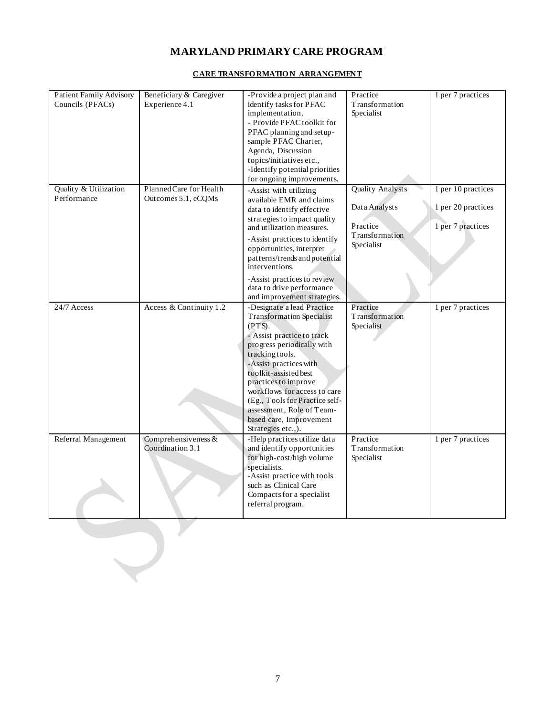#### **CARE TRANSFO RMATIO N ARRANGEMENT**

| <b>Patient Family Advisory</b><br>Councils (PFACs) | Beneficiary & Caregiver<br>Experience 4.1      | -Provide a project plan and<br>identify tasks for PFAC<br>implementation.<br>- Provide PFAC toolkit for<br>PFAC planning and setup-<br>sample PFAC Charter,<br>Agenda, Discussion<br>topics/initiatives etc.,<br>-Identify potential priorities<br>for ongoing improvements.                                                                                                       | Practice<br>Transformation<br>Specialist                                             | 1 per 7 practices                                             |
|----------------------------------------------------|------------------------------------------------|------------------------------------------------------------------------------------------------------------------------------------------------------------------------------------------------------------------------------------------------------------------------------------------------------------------------------------------------------------------------------------|--------------------------------------------------------------------------------------|---------------------------------------------------------------|
| Quality & Utilization<br>Performance               | Planned Care for Health<br>Outcomes 5.1, eCQMs | -Assist with utilizing<br>available EMR and claims<br>data to identify effective<br>strategies to impact quality<br>and utilization measures.<br>-Assist practices to identify<br>opportunities, interpret<br>patterns/trends and potential<br>interventions.<br>-Assist practices to review<br>data to drive performance<br>and improvement strategies.                           | <b>Quality Analysts</b><br>Data Analysts<br>Practice<br>Transformation<br>Specialist | 1 per 10 practices<br>1 per 20 practices<br>1 per 7 practices |
| 24/7 Access                                        | Access & Continuity 1.2                        | -Designate a lead Practice<br><b>Transformation Specialist</b><br>(PTS).<br>- Assist practice to track<br>progress periodically with<br>tracking tools.<br>-Assist practices with<br>toolkit-assisted best<br>practices to improve<br>workflows for access to care<br>(Eg., Tools for Practice self-<br>assessment, Role of Team-<br>based care, Improvement<br>Strategies etc.,). | Practice<br>Transformation<br>Specialist                                             | 1 per 7 practices                                             |
| Referral Management                                | Comprehensiveness $&$<br>Coordination 3.1      | -Help practices utilize data<br>and identify opportunities<br>for high-cost/high volume<br>specialists.<br>-Assist practice with tools<br>such as Clinical Care<br>Compacts for a specialist<br>referral program.                                                                                                                                                                  | Practice<br>Transformation<br>Specialist                                             | 1 per 7 practices                                             |

 $\sum_{i=1}^{n}$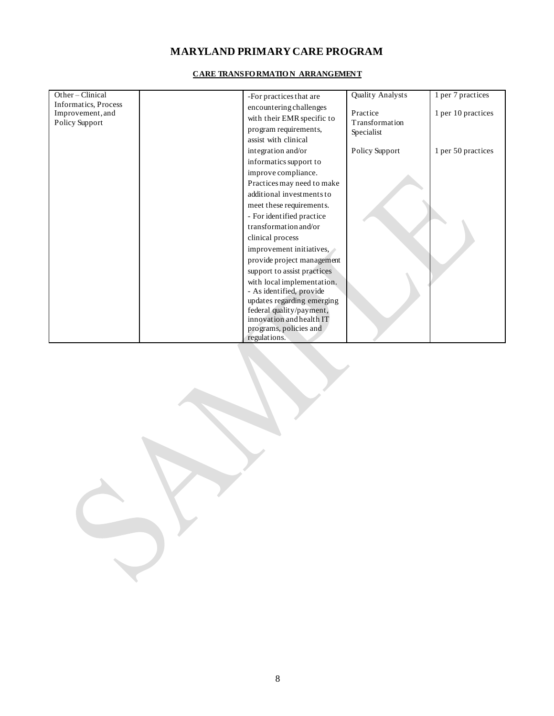| Other-Clinical              |                                           | Quality Analysts | 1 per 7 practices  |
|-----------------------------|-------------------------------------------|------------------|--------------------|
| <b>Informatics, Process</b> | -For practices that are                   |                  |                    |
| Improvement, and            | encountering challenges                   | Practice         | 1 per 10 practices |
| Policy Support              | with their EMR specific to                | Transformation   |                    |
|                             | program requirements,                     | Specialist       |                    |
|                             | assist with clinical                      |                  |                    |
|                             | integration and/or                        | Policy Support   | 1 per 50 practices |
|                             |                                           |                  |                    |
|                             | informatics support to                    |                  |                    |
|                             | improve compliance.                       |                  |                    |
|                             | Practices may need to make                |                  |                    |
|                             | additional investments to                 |                  |                    |
|                             | meet these requirements.                  |                  |                    |
|                             | - For identified practice                 |                  |                    |
|                             | transformation and/or                     |                  |                    |
|                             | clinical process                          |                  |                    |
|                             | improvement initiatives, $\triangleright$ |                  |                    |
|                             | provide project management                |                  |                    |
|                             | support to assist practices               |                  |                    |
|                             | with local implementation.                |                  |                    |
|                             | - As identified, provide                  |                  |                    |
|                             | updates regarding emerging                |                  |                    |
|                             | federal quality/payment,                  |                  |                    |
|                             | innovation and health IT                  |                  |                    |
|                             | programs, policies and                    |                  |                    |
|                             | regulations.                              |                  |                    |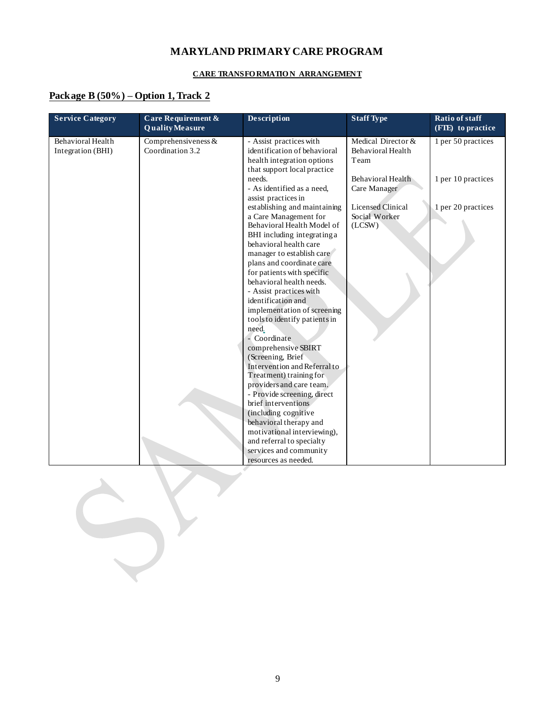#### **CARE TRANSFO RMATIO N ARRANGEMENT**

### **Package B (50%) – Option 1, Track 2**

| <b>Service Category</b>                | Care Requirement &<br><b>Quality Measure</b> | Description                                                                                                                                                                                                                                                                                                                                                                                                                                                                                                                                                                                                                  | <b>Staff Type</b>                                   | Ratio of staff<br>(FIE) to practice |
|----------------------------------------|----------------------------------------------|------------------------------------------------------------------------------------------------------------------------------------------------------------------------------------------------------------------------------------------------------------------------------------------------------------------------------------------------------------------------------------------------------------------------------------------------------------------------------------------------------------------------------------------------------------------------------------------------------------------------------|-----------------------------------------------------|-------------------------------------|
| Behavioral Health<br>Integration (BHI) | Comprehensiveness $&$<br>Coordination 3.2    | - Assist practices with<br>identification of behavioral<br>health integration options<br>that support local practice                                                                                                                                                                                                                                                                                                                                                                                                                                                                                                         | Medical Director &<br>Behavioral Health<br>Team     | 1 per 50 practices                  |
|                                        |                                              | needs.<br>- As identified as a need,<br>assist practices in                                                                                                                                                                                                                                                                                                                                                                                                                                                                                                                                                                  | Behavioral Health<br>Care Manager                   | 1 per 10 practices                  |
|                                        |                                              | establishing and maintaining<br>a Care Management for<br>Behavioral Health Model of<br>BHI including integrating a<br>behavioral health care<br>manager to establish care<br>plans and coordinate care<br>for patients with specific<br>behavioral health needs.<br>- Assist practices with<br>identification and<br>implementation of screening<br>tools to identify patients in<br>need.<br>- Coordinate<br>comprehensive SBIRT<br>(Screening, Brief)<br>Intervention and Referral to<br>Treatment) training for<br>providers and care team.<br>- Provide screening, direct<br>brief interventions<br>(including cognitive | <b>Licensed Clinical</b><br>Social Worker<br>(LCSW) | 1 per 20 practices                  |
|                                        |                                              | behavioral therapy and<br>motivational interviewing),<br>and referral to specialty                                                                                                                                                                                                                                                                                                                                                                                                                                                                                                                                           |                                                     |                                     |
|                                        |                                              | services and community<br>resources as needed.                                                                                                                                                                                                                                                                                                                                                                                                                                                                                                                                                                               |                                                     |                                     |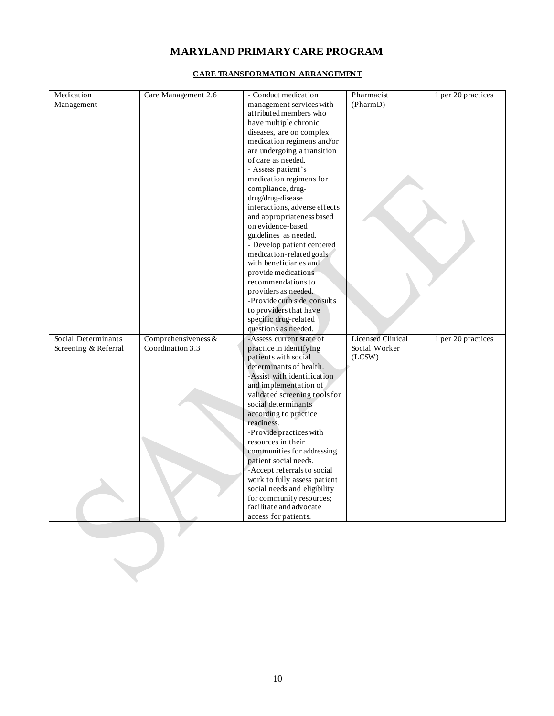| Medication           | Care Management 2.6   | - Conduct medication                                 | Pharmacist               | 1 per 20 practices |
|----------------------|-----------------------|------------------------------------------------------|--------------------------|--------------------|
| Management           |                       | management services with                             | (PharmD)                 |                    |
|                      |                       | attributed members who                               |                          |                    |
|                      |                       | have multiple chronic                                |                          |                    |
|                      |                       | diseases, are on complex                             |                          |                    |
|                      |                       | medication regimens and/or                           |                          |                    |
|                      |                       | are undergoing a transition                          |                          |                    |
|                      |                       | of care as needed.                                   |                          |                    |
|                      |                       | - Assess patient's                                   |                          |                    |
|                      |                       | medication regimens for                              |                          |                    |
|                      |                       | compliance, drug-                                    |                          |                    |
|                      |                       | drug/drug-disease                                    |                          |                    |
|                      |                       | interactions, adverse effects                        |                          |                    |
|                      |                       | and appropriateness based                            |                          |                    |
|                      |                       | on evidence-based                                    |                          |                    |
|                      |                       | guidelines as needed.                                |                          |                    |
|                      |                       | - Develop patient centered                           |                          |                    |
|                      |                       | medication-related goals                             |                          |                    |
|                      |                       | with beneficiaries and                               |                          |                    |
|                      |                       | provide medications<br>recommendations to            |                          |                    |
|                      |                       | providers as needed.                                 |                          |                    |
|                      |                       | -Provide curb side consults                          |                          |                    |
|                      |                       | to providers that have                               |                          |                    |
|                      |                       | specific drug-related                                |                          |                    |
|                      |                       | questions as needed.                                 |                          |                    |
| Social Determinants  | Comprehensiveness $&$ | -Assess current state of                             | <b>Licensed Clinical</b> | 1 per 20 practices |
| Screening & Referral | Coordination 3.3      | practice in identifying                              | Social Worker            |                    |
|                      |                       | patients with social                                 | (LCSW)                   |                    |
|                      |                       | determinants of health.                              |                          |                    |
|                      |                       | -Assist with identification                          |                          |                    |
|                      |                       | and implementation of                                |                          |                    |
|                      |                       | validated screening tools for                        |                          |                    |
|                      |                       | social determinants                                  |                          |                    |
|                      |                       | according to practice                                |                          |                    |
|                      |                       | readiness.                                           |                          |                    |
|                      |                       | -Provide practices with                              |                          |                    |
|                      |                       | resources in their                                   |                          |                    |
|                      |                       | communities for addressing                           |                          |                    |
|                      |                       | patient social needs.<br>-Accept referrals to social |                          |                    |
|                      |                       | work to fully assess patient                         |                          |                    |
|                      |                       | social needs and eligibility                         |                          |                    |
|                      |                       | for community resources;                             |                          |                    |
|                      |                       | facilitate and advocate                              |                          |                    |
|                      |                       | access for patients.                                 |                          |                    |
|                      |                       |                                                      |                          |                    |
|                      |                       |                                                      |                          |                    |
|                      |                       |                                                      |                          |                    |
|                      |                       |                                                      |                          |                    |
|                      |                       |                                                      |                          |                    |
|                      |                       |                                                      |                          |                    |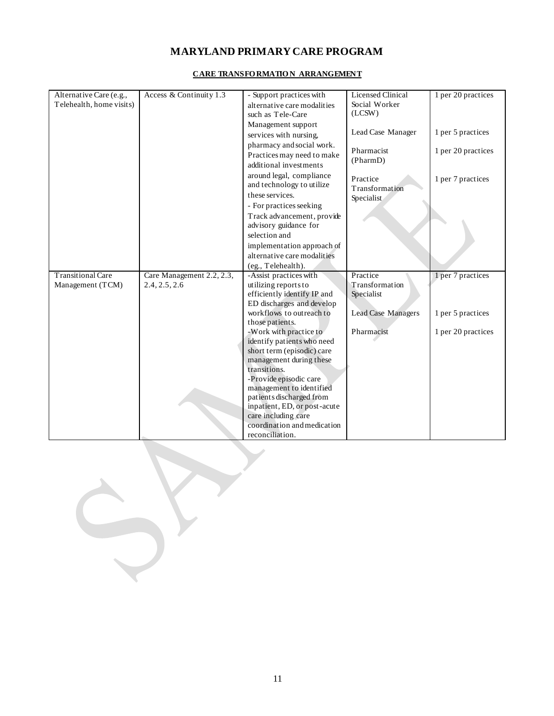| Alternative Care (e.g.,  | Access & Continuity 1.3   | - Support practices with               | <b>Licensed Clinical</b>  | 1 per 20 practices |
|--------------------------|---------------------------|----------------------------------------|---------------------------|--------------------|
| Telehealth, home visits) |                           | alternative care modalities            | Social Worker             |                    |
|                          |                           | such as Tele-Care                      | (LCSW)                    |                    |
|                          |                           | Management support                     |                           |                    |
|                          |                           | services with nursing,                 | Lead Case Manager         | 1 per 5 practices  |
|                          |                           | pharmacy and social work.              |                           |                    |
|                          |                           | Practices may need to make             | Pharmacist<br>(PharmD)    | 1 per 20 practices |
|                          |                           | additional investments                 |                           |                    |
|                          |                           | around legal, compliance               | Practice                  | 1 per 7 practices  |
|                          |                           | and technology to utilize              | Transformation            |                    |
|                          |                           | these services.                        | Specialist                |                    |
|                          |                           | - For practices seeking                |                           |                    |
|                          |                           | Track advancement, provide             |                           |                    |
|                          |                           | advisory guidance for                  |                           |                    |
|                          |                           | selection and                          |                           |                    |
|                          |                           | implementation approach of             |                           |                    |
|                          |                           | alternative care modalities            |                           |                    |
|                          |                           | (eg., Telehealth).                     |                           |                    |
| <b>Transitional Care</b> | Care Management 2.2, 2.3, | -Assist practices with                 | Practice                  | 1 per 7 practices  |
| Management (TCM)         | 2.4, 2.5, 2.6             | utilizing reports to                   | Transformation            |                    |
|                          |                           | efficiently identify IP and            | Specialist                |                    |
|                          |                           | ED discharges and develop              |                           |                    |
|                          |                           | workflows to outreach to               | <b>Lead Case Managers</b> | 1 per 5 practices  |
|                          |                           | those patients.                        |                           |                    |
|                          |                           | -Work with practice to                 | Pharmacist                | 1 per 20 practices |
|                          |                           | identify patients who need             |                           |                    |
|                          |                           | short term (episodic) care             |                           |                    |
|                          |                           | management during these                |                           |                    |
|                          |                           | transitions.<br>-Provide episodic care |                           |                    |
|                          |                           | management to identified               |                           |                    |
|                          |                           | patients discharged from               |                           |                    |
|                          |                           | inpatient, ED, or post-acute           |                           |                    |
|                          |                           | care including care                    |                           |                    |
|                          |                           | coordination and medication            |                           |                    |
|                          |                           | reconciliation.                        |                           |                    |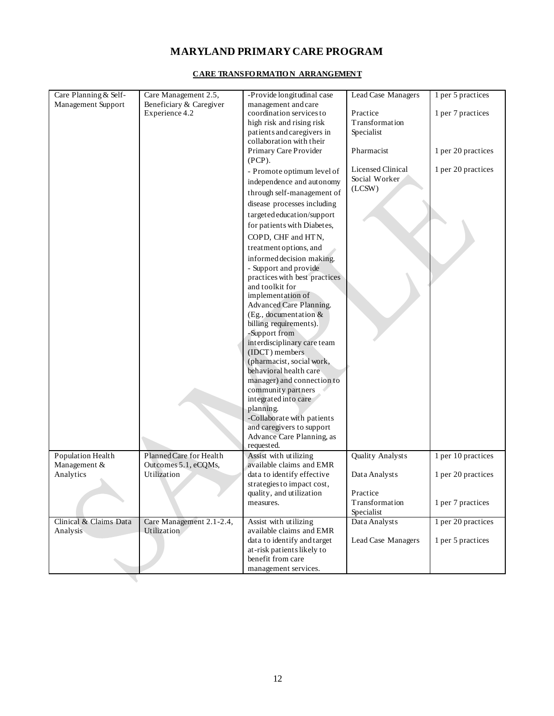| Care Planning & Self-  | Care Management 2.5,                    | -Provide longitudinal case                        | Lead Case Managers       | 1 per 5 practices  |
|------------------------|-----------------------------------------|---------------------------------------------------|--------------------------|--------------------|
| Management Support     | Beneficiary & Caregiver                 | management and care                               |                          |                    |
|                        | Experience 4.2                          | coordination services to                          | Practice                 | 1 per 7 practices  |
|                        |                                         | high risk and rising risk                         | Transformation           |                    |
|                        |                                         | patients and caregivers in                        | Specialist               |                    |
|                        |                                         | collaboration with their                          |                          |                    |
|                        |                                         | Primary Care Provider<br>$(PCP)$ .                | Pharmacist               | 1 per 20 practices |
|                        |                                         | - Promote optimum level of                        | <b>Licensed Clinical</b> | 1 per 20 practices |
|                        |                                         | independence and autonomy                         | Social Worker            |                    |
|                        |                                         | through self-management of                        | (LCSW)                   |                    |
|                        |                                         | disease processes including                       |                          |                    |
|                        |                                         | targeted education/support                        |                          |                    |
|                        |                                         | for patients with Diabetes,                       |                          |                    |
|                        |                                         | COPD, CHF and HTN,                                |                          |                    |
|                        |                                         | treatment options, and                            |                          |                    |
|                        |                                         | informed decision making.                         |                          |                    |
|                        |                                         | - Support and provide                             |                          |                    |
|                        |                                         | practices with best practices                     |                          |                    |
|                        |                                         | and toolkit for                                   |                          |                    |
|                        |                                         | implementation of                                 |                          |                    |
|                        |                                         | Advanced Care Planning.                           |                          |                    |
|                        |                                         | (Eg., documentation $&$<br>billing requirements). |                          |                    |
|                        |                                         | -Support from                                     |                          |                    |
|                        |                                         | interdisciplinary care team                       |                          |                    |
|                        |                                         | (IDCT) members                                    |                          |                    |
|                        |                                         | (pharmacist, social work,                         |                          |                    |
|                        |                                         | behavioral health care                            |                          |                    |
|                        |                                         | manager) and connection to                        |                          |                    |
|                        |                                         | community partners                                |                          |                    |
|                        |                                         | integrated into care                              |                          |                    |
|                        |                                         | planning.                                         |                          |                    |
|                        |                                         | -Collaborate with patients                        |                          |                    |
|                        |                                         | and caregivers to support                         |                          |                    |
|                        |                                         | Advance Care Planning, as<br>requested.           |                          |                    |
| Population Health      | Planned Care for Health                 | Assist with utilizing                             | Quality Analysts         | 1 per 10 practices |
| Management &           | Outcomes 5.1, eCQMs,                    | available claims and EMR                          |                          |                    |
| Analytics              | Utilization                             | data to identify effective                        | Data Analysts            | 1 per 20 practices |
|                        |                                         | strategies to impact cost,                        |                          |                    |
|                        |                                         | quality, and utilization                          | Practice                 |                    |
|                        |                                         | measures.                                         | Transformation           | 1 per 7 practices  |
|                        |                                         |                                                   | Specialist               |                    |
| Clinical & Claims Data | Care Management 2.1-2.4,<br>Utilization | Assist with utilizing<br>available claims and EMR | Data Analysts            | 1 per 20 practices |
| Analysis               |                                         | data to identify and target                       | Lead Case Managers       | 1 per 5 practices  |
|                        |                                         | at-risk patients likely to                        |                          |                    |
|                        |                                         | benefit from care                                 |                          |                    |
|                        |                                         | management services.                              |                          |                    |
|                        |                                         |                                                   |                          |                    |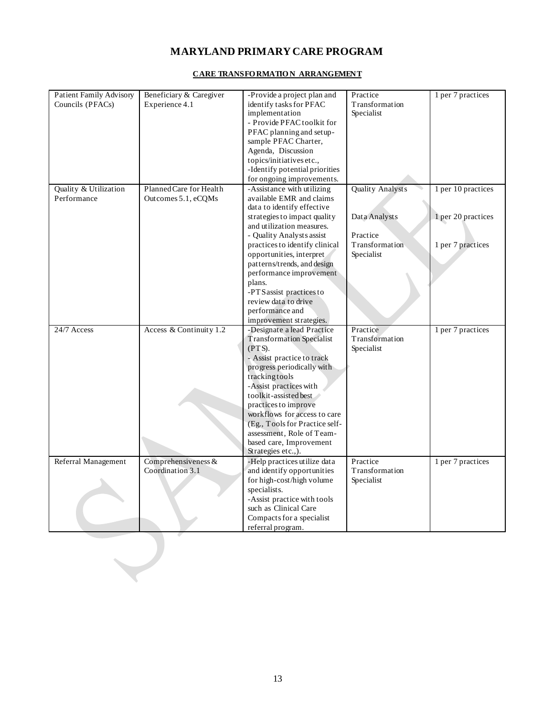| Patient Family Advisory | Beneficiary & Caregiver | -Provide a project plan and                                 | Practice                | $\frac{1}{2}$ per 7 practices |
|-------------------------|-------------------------|-------------------------------------------------------------|-------------------------|-------------------------------|
| Councils (PFACs)        | Experience 4.1          | identify tasks for PFAC                                     | Transformation          |                               |
|                         |                         | implementation                                              | Specialist              |                               |
|                         |                         | - Provide PFAC toolkit for                                  |                         |                               |
|                         |                         | PFAC planning and setup-                                    |                         |                               |
|                         |                         | sample PFAC Charter,                                        |                         |                               |
|                         |                         | Agenda, Discussion                                          |                         |                               |
|                         |                         | topics/initiatives etc.,                                    |                         |                               |
|                         |                         | -Identify potential priorities                              |                         |                               |
|                         |                         | for ongoing improvements.                                   |                         |                               |
| Quality & Utilization   | Planned Care for Health | -Assistance with utilizing                                  | <b>Quality Analysts</b> | 1 per 10 practices            |
| Performance             | Outcomes 5.1, eCQMs     | available EMR and claims<br>data to identify effective      |                         |                               |
|                         |                         | strategies to impact quality                                | Data Analysts           | 1 per 20 practices            |
|                         |                         | and utilization measures.                                   |                         |                               |
|                         |                         | - Quality Analysts assist                                   | Practice                |                               |
|                         |                         | practices to identify clinical                              | Transformation          | 1 per 7 practices             |
|                         |                         | opportunities, interpret                                    | Specialist              |                               |
|                         |                         | patterns/trends, and design                                 |                         |                               |
|                         |                         | performance improvement                                     |                         |                               |
|                         |                         | plans.                                                      |                         |                               |
|                         |                         | -PTS assist practices to                                    |                         |                               |
|                         |                         | review data to drive                                        |                         |                               |
|                         |                         | performance and                                             |                         |                               |
|                         |                         | improvement strategies.                                     |                         |                               |
| 24/7 Access             | Access & Continuity 1.2 | -Designate a lead Practice                                  | Practice                | 1 per 7 practices             |
|                         |                         | <b>Transformation Specialist</b>                            | Transformation          |                               |
|                         |                         | (PTS).                                                      | Specialist              |                               |
|                         |                         | - Assist practice to track                                  |                         |                               |
|                         |                         | progress periodically with                                  |                         |                               |
|                         |                         | tracking tools                                              |                         |                               |
|                         |                         | -Assist practices with                                      |                         |                               |
|                         |                         | toolkit-assisted best                                       |                         |                               |
|                         |                         | practices to improve                                        |                         |                               |
|                         |                         | workflows for access to care                                |                         |                               |
|                         |                         | (Eg., Tools for Practice self-<br>assessment, Role of Team- |                         |                               |
|                         |                         | based care, Improvement                                     |                         |                               |
|                         |                         | Strategies etc.,).                                          |                         |                               |
| Referral Management     | Comprehensiveness &     | -Help practices utilize data                                | Practice                | 1 per 7 practices             |
|                         | Coordination 3.1        | and identify opportunities                                  | Transformation          |                               |
|                         |                         | for high-cost/high volume                                   | Specialist              |                               |
|                         |                         | specialists.                                                |                         |                               |
|                         |                         | -Assist practice with tools                                 |                         |                               |
|                         |                         | such as Clinical Care                                       |                         |                               |
|                         |                         | Compacts for a specialist                                   |                         |                               |
|                         |                         | referral program.                                           |                         |                               |
|                         |                         |                                                             |                         |                               |
|                         |                         |                                                             |                         |                               |
|                         |                         |                                                             |                         |                               |
|                         |                         |                                                             |                         |                               |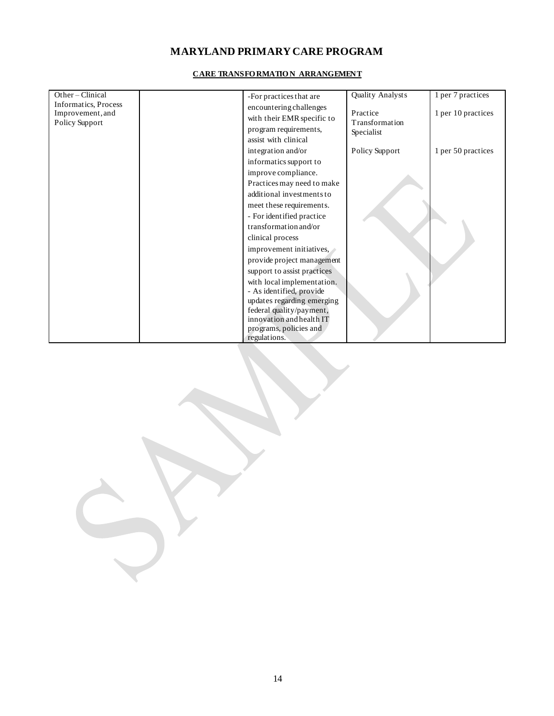| Other-Clinical       | -For practices that are     | Quality Analysts | 1 per 7 practices  |
|----------------------|-----------------------------|------------------|--------------------|
| Informatics, Process | encountering challenges     |                  |                    |
| Improvement, and     | with their EMR specific to  | Practice         | 1 per 10 practices |
| Policy Support       | program requirements,       | Transformation   |                    |
|                      | assist with clinical        | Specialist       |                    |
|                      |                             |                  |                    |
|                      | integration and/or          | Policy Support   | 1 per 50 practices |
|                      | informatics support to      |                  |                    |
|                      | improve compliance.         |                  |                    |
|                      | Practices may need to make  |                  |                    |
|                      | additional investments to   |                  |                    |
|                      | meet these requirements.    |                  |                    |
|                      | - For identified practice   |                  |                    |
|                      | transformation and/or       |                  |                    |
|                      | clinical process            |                  |                    |
|                      | improvement initiatives,    |                  |                    |
|                      | provide project management  |                  |                    |
|                      | support to assist practices |                  |                    |
|                      | with local implementation.  |                  |                    |
|                      | - As identified, provide    |                  |                    |
|                      | updates regarding emerging  |                  |                    |
|                      | federal quality/payment,    |                  |                    |
|                      | innovation and health IT    |                  |                    |
|                      | programs, policies and      |                  |                    |
|                      | regulations.                |                  |                    |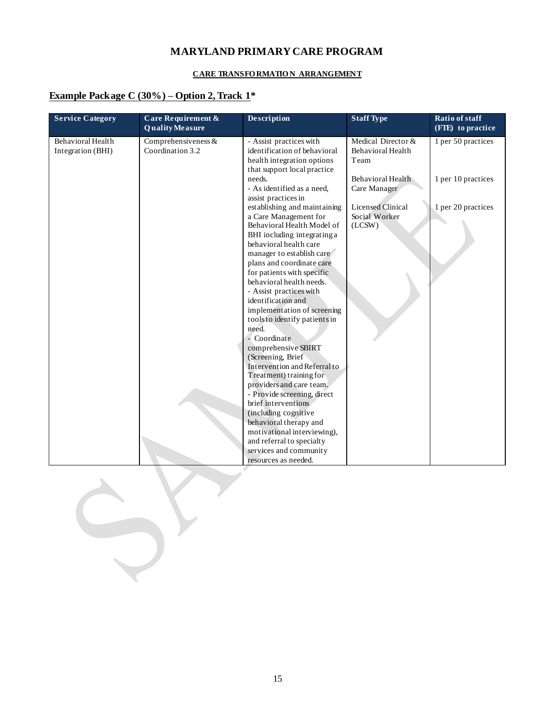#### **CARE TRANSFO RMATIO N ARRANGEMENT**

### **Example Package C (30%) – Option 2, Track 1\***

| <b>Service Category</b>                | Care Requirement &<br><b>Quality Measure</b> | Description                                                                                                                                                                                                                                                                                                                                                                                                                                                                                                   | <b>Staff Type</b>                                   | <b>Ratio of staff</b><br>(FTE) to practice |
|----------------------------------------|----------------------------------------------|---------------------------------------------------------------------------------------------------------------------------------------------------------------------------------------------------------------------------------------------------------------------------------------------------------------------------------------------------------------------------------------------------------------------------------------------------------------------------------------------------------------|-----------------------------------------------------|--------------------------------------------|
| Behavioral Health<br>Integration (BHI) | Comprehensiveness $&$<br>Coordination 3.2    | - Assist practices with<br>identification of behavioral<br>health integration options<br>that support local practice                                                                                                                                                                                                                                                                                                                                                                                          | Medical Director &<br>Behavioral Health<br>Team     | 1 per 50 practices                         |
|                                        |                                              | needs.<br>- As identified as a need,                                                                                                                                                                                                                                                                                                                                                                                                                                                                          | Behavioral Health<br>Care Manager                   | 1 per 10 practices                         |
|                                        |                                              | assist practices in<br>establishing and maintaining<br>a Care Management for<br>Behavioral Health Model of<br>BHI including integrating a<br>behavioral health care<br>manager to establish care<br>plans and coordinate care<br>for patients with specific<br>behavioral health needs.<br>- Assist practices with<br>identification and<br>implementation of screening<br>tools to identify patients in<br>need.<br>- Coordinate<br>comprehensive SBIRT<br>(Screening, Brief<br>Intervention and Referral to | <b>Licensed Clinical</b><br>Social Worker<br>(LCSW) | 1 per 20 practices                         |
|                                        |                                              | Treatment) training for<br>providers and care team.<br>- Provide screening, direct                                                                                                                                                                                                                                                                                                                                                                                                                            |                                                     |                                            |
|                                        |                                              | brief interventions.<br>(including cognitive<br>behavioral therapy and<br>motivational interviewing),                                                                                                                                                                                                                                                                                                                                                                                                         |                                                     |                                            |
|                                        |                                              | and referral to specialty<br>services and community<br>resources as needed.                                                                                                                                                                                                                                                                                                                                                                                                                                   |                                                     |                                            |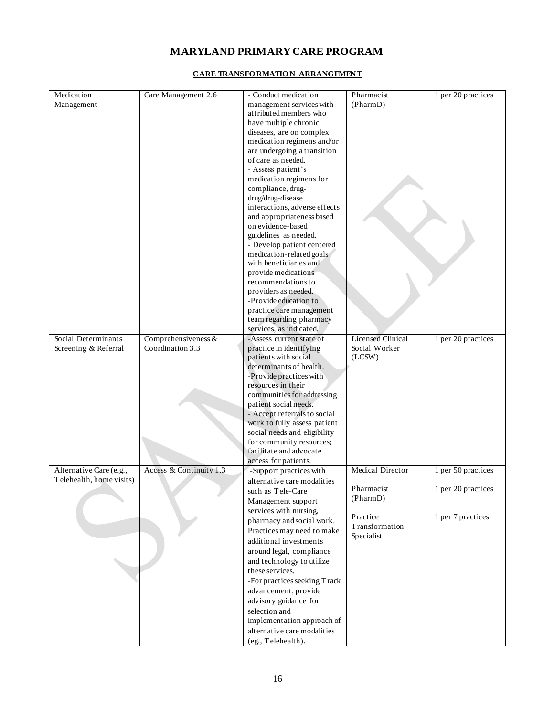| Medication               | Care Management 2.6     | - Conduct medication          | Pharmacist               | 1 per 20 practices |
|--------------------------|-------------------------|-------------------------------|--------------------------|--------------------|
| Management               |                         | management services with      | (PharmD)                 |                    |
|                          |                         | attributed members who        |                          |                    |
|                          |                         | have multiple chronic         |                          |                    |
|                          |                         | diseases, are on complex      |                          |                    |
|                          |                         | medication regimens and/or    |                          |                    |
|                          |                         | are undergoing a transition   |                          |                    |
|                          |                         | of care as needed.            |                          |                    |
|                          |                         | - Assess patient's            |                          |                    |
|                          |                         | medication regimens for       |                          |                    |
|                          |                         | compliance, drug-             |                          |                    |
|                          |                         | drug/drug-disease             |                          |                    |
|                          |                         | interactions, adverse effects |                          |                    |
|                          |                         |                               |                          |                    |
|                          |                         | and appropriateness based     |                          |                    |
|                          |                         | on evidence-based             |                          |                    |
|                          |                         | guidelines as needed.         |                          |                    |
|                          |                         | - Develop patient centered    |                          |                    |
|                          |                         | medication-related goals      |                          |                    |
|                          |                         | with beneficiaries and        |                          |                    |
|                          |                         | provide medications           |                          |                    |
|                          |                         | recommendations to            |                          |                    |
|                          |                         | providers as needed.          |                          |                    |
|                          |                         | -Provide education to         |                          |                    |
|                          |                         | practice care management      |                          |                    |
|                          |                         | team regarding pharmacy       |                          |                    |
|                          |                         | services, as indicated.       |                          |                    |
| Social Determinants      | Comprehensiveness $&$   | -Assess current state of      | <b>Licensed Clinical</b> | 1 per 20 practices |
| Screening & Referral     | Coordination 3.3        | practice in identifying       | Social Worker            |                    |
|                          |                         | patients with social          | (LCSW)                   |                    |
|                          |                         | determinants of health.       |                          |                    |
|                          |                         | -Provide practices with       |                          |                    |
|                          |                         |                               |                          |                    |
|                          |                         | resources in their            |                          |                    |
|                          |                         | communities for addressing    |                          |                    |
|                          |                         | patient social needs.         |                          |                    |
|                          |                         | - Accept referrals to social  |                          |                    |
|                          |                         | work to fully assess patient  |                          |                    |
|                          |                         | social needs and eligibility  |                          |                    |
|                          |                         | for community resources;      |                          |                    |
|                          |                         | facilitate and advocate       |                          |                    |
|                          |                         | access for patients.          |                          |                    |
| Alternative Care (e.g.,  | Access & Continuity 1.3 | -Support practices with       | <b>Medical Director</b>  | 1 per 50 practices |
| Telehealth, home visits) |                         | alternative care modalities   |                          |                    |
|                          |                         | such as Tele-Care             | Pharmacist               | 1 per 20 practices |
|                          |                         | Management support            | (PharmD)                 |                    |
|                          |                         | services with nursing,        |                          |                    |
|                          |                         | pharmacy and social work.     | Practice                 | 1 per 7 practices  |
|                          |                         |                               | Transformation           |                    |
|                          |                         | Practices may need to make    | Specialist               |                    |
|                          |                         | additional investments        |                          |                    |
|                          |                         | around legal, compliance      |                          |                    |
|                          |                         | and technology to utilize     |                          |                    |
|                          |                         | these services.               |                          |                    |
|                          |                         | -For practices seeking Track  |                          |                    |
|                          |                         | advancement, provide          |                          |                    |
|                          |                         | advisory guidance for         |                          |                    |
|                          |                         | selection and                 |                          |                    |
|                          |                         | implementation approach of    |                          |                    |
|                          |                         |                               |                          |                    |
|                          |                         | alternative care modalities   |                          |                    |
|                          |                         | (eg., Telehealth).            |                          |                    |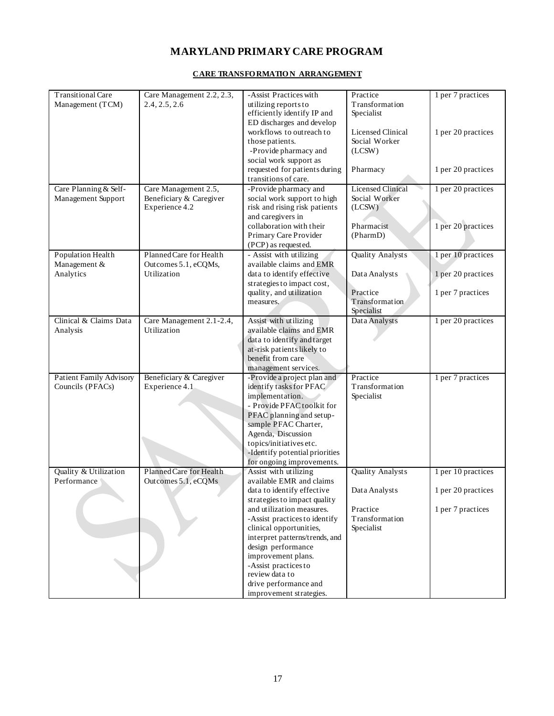| <b>Transitional Care</b>       | Care Management 2.2, 2.3, | -Assist Practices with         | Practice                 | 1 per 7 practices  |
|--------------------------------|---------------------------|--------------------------------|--------------------------|--------------------|
| Management (TCM)               | 2.4, 2.5, 2.6             | utilizing reports to           | Transformation           |                    |
|                                |                           | efficiently identify IP and    | Specialist               |                    |
|                                |                           | ED discharges and develop      |                          |                    |
|                                |                           | workflows to outreach to       | <b>Licensed Clinical</b> | 1 per 20 practices |
|                                |                           | those patients.                | Social Worker            |                    |
|                                |                           | -Provide pharmacy and          | (LCSW)                   |                    |
|                                |                           | social work support as         |                          |                    |
|                                |                           |                                |                          |                    |
|                                |                           | requested for patients during  | Pharmacy                 | 1 per 20 practices |
|                                |                           | transitions of care.           |                          |                    |
| Care Planning & Self-          | Care Management 2.5,      | -Provide pharmacy and          | <b>Licensed Clinical</b> | 1 per 20 practices |
| Management Support             | Beneficiary & Caregiver   | social work support to high    | Social Worker            |                    |
|                                | Experience 4.2            | risk and rising risk patients  | (LCSW)                   |                    |
|                                |                           | and caregivers in              |                          |                    |
|                                |                           | collaboration with their       | Pharmacist               | 1 per 20 practices |
|                                |                           | Primary Care Provider          | (PharmD)                 |                    |
|                                |                           | (PCP) as requested.            |                          |                    |
| Population Health              | Planned Care for Health   | - Assist with utilizing        | Quality Analysts         | 1 per 10 practices |
|                                |                           |                                |                          |                    |
| Management &                   | Outcomes 5.1, eCQMs,      | available claims and EMR       |                          |                    |
| Analytics                      | Utilization               | data to identify effective     | Data Analysts            | 1 per 20 practices |
|                                |                           | strategies to impact cost,     |                          |                    |
|                                |                           | quality, and utilization       | Practice                 | 1 per 7 practices  |
|                                |                           | measures.                      | Transformation           |                    |
|                                |                           |                                | Specialist               |                    |
| Clinical & Claims Data         | Care Management 2.1-2.4,  | Assist with utilizing          | Data Analysts            | 1 per 20 practices |
| Analysis                       | Utilization               | available claims and EMR       |                          |                    |
|                                |                           | data to identify and target    |                          |                    |
|                                |                           | at-risk patients likely to     |                          |                    |
|                                |                           | benefit from care              |                          |                    |
|                                |                           |                                |                          |                    |
|                                |                           | management services.           |                          |                    |
| <b>Patient Family Advisory</b> | Beneficiary & Caregiver   | -Provide a project plan and    | Practice                 | 1 per 7 practices  |
| Councils (PFACs)               | Experience 4.1            | identify tasks for PFAC        | Transformation           |                    |
|                                |                           | implementation.                | Specialist               |                    |
|                                |                           | - Provide PFAC toolkit for     |                          |                    |
|                                |                           | PFAC planning and setup-       |                          |                    |
|                                |                           | sample PFAC Charter,           |                          |                    |
|                                |                           | Agenda, Discussion             |                          |                    |
|                                |                           | topics/initiatives etc.        |                          |                    |
|                                |                           | -Identify potential priorities |                          |                    |
|                                |                           |                                |                          |                    |
|                                |                           | for ongoing improvements.      |                          |                    |
| Quality & Utilization          | Planned Care for Health   | Assist with utilizing          | <b>Quality Analysts</b>  | 1 per 10 practices |
| Performance                    | Outcomes 5.1, eCQMs       | available EMR and claims       |                          |                    |
|                                |                           | data to identify effective     | Data Analysts            | 1 per 20 practices |
|                                |                           | strategies to impact quality   |                          |                    |
|                                |                           | and utilization measures.      | Practice                 | 1 per 7 practices  |
|                                |                           | -Assist practices to identify  | Transformation           |                    |
|                                |                           | clinical opportunities,        | Specialist               |                    |
|                                |                           | interpret patterns/trends, and |                          |                    |
|                                |                           | design performance             |                          |                    |
|                                |                           | improvement plans.             |                          |                    |
|                                |                           |                                |                          |                    |
|                                |                           | -Assist practices to           |                          |                    |
|                                |                           | review data to                 |                          |                    |
|                                |                           | drive performance and          |                          |                    |
|                                |                           | improvement strategies.        |                          |                    |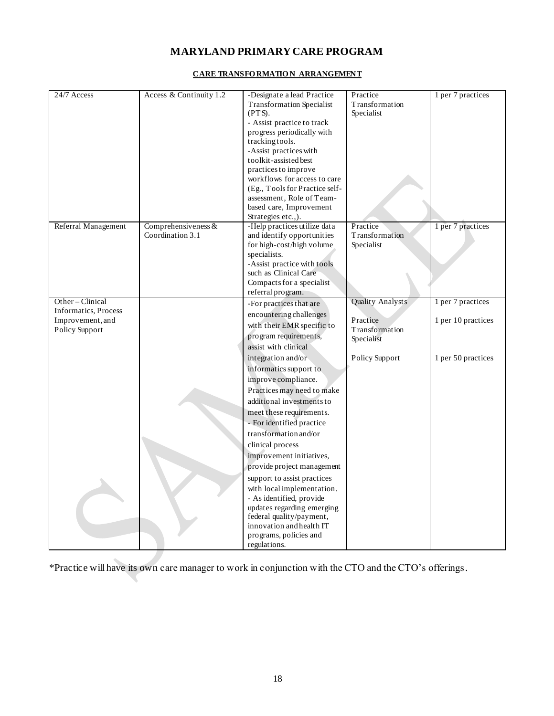#### **CARE TRANSFO RMATION ARRANGEMENT**

| 24/7 Access          | Access & Continuity 1.2                   | -Designate a lead Practice                                 | Practice                   | 1 per 7 practices  |
|----------------------|-------------------------------------------|------------------------------------------------------------|----------------------------|--------------------|
|                      |                                           | <b>Transformation Specialist</b>                           | Transformation             |                    |
|                      |                                           | (PTS).                                                     | Specialist                 |                    |
|                      |                                           | - Assist practice to track                                 |                            |                    |
|                      |                                           | progress periodically with                                 |                            |                    |
|                      |                                           | tracking tools.                                            |                            |                    |
|                      |                                           | -Assist practices with                                     |                            |                    |
|                      |                                           | toolkit-assisted best                                      |                            |                    |
|                      |                                           | practices to improve                                       |                            |                    |
|                      |                                           | workflows for access to care                               |                            |                    |
|                      |                                           | (Eg., Tools for Practice self-                             |                            |                    |
|                      |                                           | assessment, Role of Team-                                  |                            |                    |
|                      |                                           | based care, Improvement                                    |                            |                    |
|                      |                                           | Strategies etc.,).                                         |                            |                    |
| Referral Management  | Comprehensiveness $&$<br>Coordination 3.1 | -Help practices utilize data<br>and identify opportunities | Practice<br>Transformation | 1 per 7 practices  |
|                      |                                           | for high-cost/high volume                                  | Specialist                 |                    |
|                      |                                           | specialists.                                               |                            |                    |
|                      |                                           | -Assist practice with tools                                |                            |                    |
|                      |                                           | such as Clinical Care                                      |                            |                    |
|                      |                                           | Compacts for a specialist                                  |                            |                    |
|                      |                                           | referral program.                                          |                            |                    |
| Other-Clinical       |                                           | -For practices that are                                    | <b>Quality Analysts</b>    | 1 per 7 practices  |
| Informatics, Process |                                           | encountering challenges                                    |                            |                    |
| Improvement, and     |                                           | with their EMR specific to                                 | Practice                   | 1 per 10 practices |
| Policy Support       |                                           | program requirements,                                      | Transformation             |                    |
|                      |                                           | assist with clinical                                       | Specialist                 |                    |
|                      |                                           | integration and/or                                         | Policy Support             | 1 per 50 practices |
|                      |                                           | informatics support to                                     |                            |                    |
|                      |                                           |                                                            |                            |                    |
|                      |                                           | improve compliance.                                        |                            |                    |
|                      |                                           | Practices may need to make                                 |                            |                    |
|                      |                                           | additional investments to                                  |                            |                    |
|                      |                                           | meet these requirements.                                   |                            |                    |
|                      |                                           | - For identified practice                                  |                            |                    |
|                      |                                           | transformation and/or                                      |                            |                    |
|                      |                                           | clinical process                                           |                            |                    |
|                      |                                           | improvement initiatives,                                   |                            |                    |
|                      |                                           | provide project management                                 |                            |                    |
|                      |                                           | support to assist practices                                |                            |                    |
|                      |                                           | with local implementation.                                 |                            |                    |
|                      |                                           | - As identified, provide                                   |                            |                    |
|                      |                                           | updates regarding emerging                                 |                            |                    |
|                      |                                           | federal quality/payment,                                   |                            |                    |
|                      |                                           | innovation and health IT                                   |                            |                    |
|                      |                                           | programs, policies and                                     |                            |                    |
|                      |                                           | regulations.                                               |                            |                    |

\*Practice will have its own care manager to work in conjunction with the CTO and the CTO's offerings.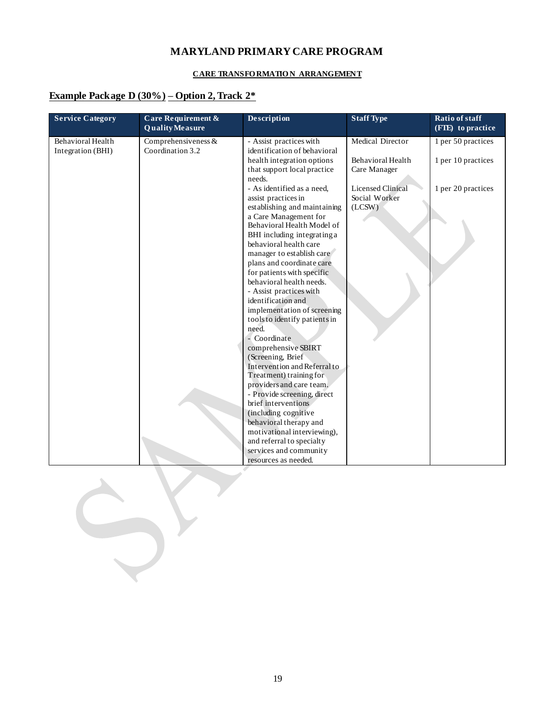#### **CARE TRANSFO RMATIO N ARRANGEMENT**

### **Example Package D (30%) – Option 2, Track 2\***

| <b>Service Category</b>                | Care Requirement &<br><b>Quality Measure</b> | <b>Description</b>                                        | <b>Staff Type</b>        | Ratio of staff<br>(FIE) to practice |
|----------------------------------------|----------------------------------------------|-----------------------------------------------------------|--------------------------|-------------------------------------|
| Behavioral Health<br>Integration (BHI) | Comprehensiveness $&$<br>Coordination 3.2    | - Assist practices with<br>identification of behavioral   | Medical Director         | 1 per 50 practices                  |
|                                        |                                              | health integration options                                | Behavioral Health        | 1 per 10 practices                  |
|                                        |                                              | that support local practice                               | Care Manager             |                                     |
|                                        |                                              | needs.<br>- As identified as a need.                      | <b>Licensed Clinical</b> | 1 per 20 practices                  |
|                                        |                                              | assist practices in                                       | Social Worker            |                                     |
|                                        |                                              | establishing and maintaining                              | (LCSW)                   |                                     |
|                                        |                                              | a Care Management for                                     |                          |                                     |
|                                        |                                              | Behavioral Health Model of<br>BHI including integrating a |                          |                                     |
|                                        |                                              | behavioral health care                                    |                          |                                     |
|                                        |                                              | manager to establish care                                 |                          |                                     |
|                                        |                                              | plans and coordinate care                                 |                          |                                     |
|                                        |                                              | for patients with specific                                |                          |                                     |
|                                        |                                              | behavioral health needs.                                  |                          |                                     |
|                                        |                                              | - Assist practices with<br>identification and             |                          |                                     |
|                                        |                                              | implementation of screening                               |                          |                                     |
|                                        |                                              | tools to identify patients in                             |                          |                                     |
|                                        |                                              | need.                                                     |                          |                                     |
|                                        |                                              | - Coordinate                                              |                          |                                     |
|                                        |                                              | comprehensive SBIRT                                       |                          |                                     |
|                                        |                                              | (Screening, Brief<br>Intervention and Referral to         |                          |                                     |
|                                        |                                              | Treatment) training for                                   |                          |                                     |
|                                        |                                              | providers and care team.                                  |                          |                                     |
|                                        |                                              | - Provide screening, direct                               |                          |                                     |
|                                        |                                              | brief interventions                                       |                          |                                     |
|                                        |                                              | (including cognitive<br>behavioral therapy and            |                          |                                     |
|                                        |                                              | motivational interviewing),                               |                          |                                     |
|                                        |                                              | and referral to specialty                                 |                          |                                     |
|                                        |                                              | services and community                                    |                          |                                     |
|                                        |                                              | resources as needed.                                      |                          |                                     |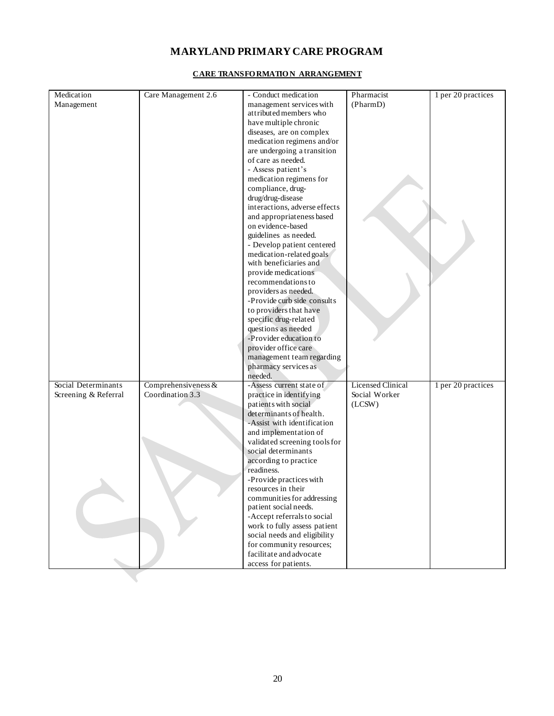| Medication           | Care Management 2.6   | - Conduct medication                            | Pharmacist                                | 1 per 20 practices |
|----------------------|-----------------------|-------------------------------------------------|-------------------------------------------|--------------------|
| Management           |                       | management services with                        | (PharmD)                                  |                    |
|                      |                       | attributed members who                          |                                           |                    |
|                      |                       | have multiple chronic                           |                                           |                    |
|                      |                       | diseases, are on complex                        |                                           |                    |
|                      |                       | medication regimens and/or                      |                                           |                    |
|                      |                       | are undergoing a transition                     |                                           |                    |
|                      |                       | of care as needed.                              |                                           |                    |
|                      |                       | - Assess patient's                              |                                           |                    |
|                      |                       | medication regimens for                         |                                           |                    |
|                      |                       | compliance, drug-                               |                                           |                    |
|                      |                       | drug/drug-disease                               |                                           |                    |
|                      |                       | interactions, adverse effects                   |                                           |                    |
|                      |                       | and appropriateness based                       |                                           |                    |
|                      |                       | on evidence-based                               |                                           |                    |
|                      |                       | guidelines as needed.                           |                                           |                    |
|                      |                       | - Develop patient centered                      |                                           |                    |
|                      |                       | medication-related goals                        |                                           |                    |
|                      |                       | with beneficiaries and                          |                                           |                    |
|                      |                       | provide medications                             |                                           |                    |
|                      |                       | recommendations to                              |                                           |                    |
|                      |                       | providers as needed.                            |                                           |                    |
|                      |                       | -Provide curb side consults                     |                                           |                    |
|                      |                       | to providers that have                          |                                           |                    |
|                      |                       | specific drug-related                           |                                           |                    |
|                      |                       | questions as needed                             |                                           |                    |
|                      |                       | -Provider education to                          |                                           |                    |
|                      |                       | provider office care                            |                                           |                    |
|                      |                       | management team regarding                       |                                           |                    |
|                      |                       | pharmacy services as                            |                                           |                    |
|                      |                       | needed.                                         |                                           |                    |
| Social Determinants  | Comprehensiveness $&$ | -Assess current state of                        | <b>Licensed Clinical</b><br>Social Worker | 1 per 20 practices |
| Screening & Referral | Coordination 3.3      | practice in identifying                         |                                           |                    |
|                      |                       | patients with social<br>determinants of health. | (LCSW)                                    |                    |
|                      |                       | -Assist with identification                     |                                           |                    |
|                      |                       | and implementation of                           |                                           |                    |
|                      |                       | validated screening tools for                   |                                           |                    |
|                      |                       | social determinants                             |                                           |                    |
|                      |                       | according to practice                           |                                           |                    |
|                      |                       | readiness.                                      |                                           |                    |
|                      |                       | -Provide practices with                         |                                           |                    |
|                      |                       | resources in their                              |                                           |                    |
|                      |                       | communities for addressing                      |                                           |                    |
|                      |                       | patient social needs.                           |                                           |                    |
|                      |                       | -Accept referrals to social                     |                                           |                    |
|                      |                       | work to fully assess patient                    |                                           |                    |
|                      |                       | social needs and eligibility                    |                                           |                    |
|                      |                       | for community resources;                        |                                           |                    |
|                      |                       | facilitate and advocate                         |                                           |                    |
|                      |                       | access for patients.                            |                                           |                    |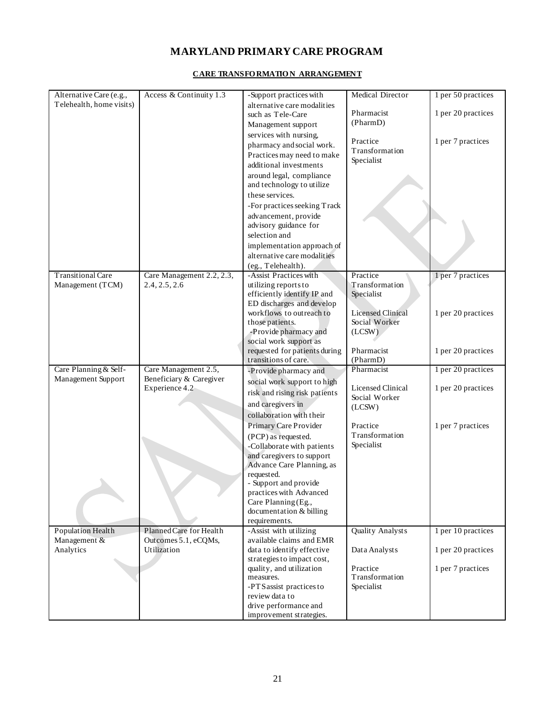| Alternative Care (e.g.,  | Access & Continuity 1.3   | -Support practices with       | <b>Medical Director</b>  | 1 per 50 practices |
|--------------------------|---------------------------|-------------------------------|--------------------------|--------------------|
| Telehealth, home visits) |                           | alternative care modalities   |                          |                    |
|                          |                           | such as Tele-Care             | Pharmacist               | 1 per 20 practices |
|                          |                           | Management support            | (PharmD)                 |                    |
|                          |                           | services with nursing,        |                          |                    |
|                          |                           | pharmacy and social work.     | Practice                 | 1 per 7 practices  |
|                          |                           | Practices may need to make    | Transformation           |                    |
|                          |                           | additional investments        | Specialist               |                    |
|                          |                           | around legal, compliance      |                          |                    |
|                          |                           | and technology to utilize     |                          |                    |
|                          |                           | these services.               |                          |                    |
|                          |                           |                               |                          |                    |
|                          |                           | -For practices seeking Track  |                          |                    |
|                          |                           | advancement, provide          |                          |                    |
|                          |                           | advisory guidance for         |                          |                    |
|                          |                           | selection and                 |                          |                    |
|                          |                           | implementation approach of    |                          |                    |
|                          |                           | alternative care modalities   |                          |                    |
|                          |                           | (eg., Telehealth).            |                          |                    |
| <b>Transitional Care</b> | Care Management 2.2, 2.3, | -Assist Practices with        | Practice                 | 1 per 7 practices  |
| Management (TCM)         | 2.4, 2.5, 2.6             | utilizing reports to          | Transformation           |                    |
|                          |                           | efficiently identify IP and   | Specialist               |                    |
|                          |                           | ED discharges and develop     |                          |                    |
|                          |                           | workflows to outreach to      | <b>Licensed Clinical</b> | 1 per 20 practices |
|                          |                           | those patients.               | Social Worker            |                    |
|                          |                           | -Provide pharmacy and         | (LCSW)                   |                    |
|                          |                           | social work support as        |                          |                    |
|                          |                           | requested for patients during | Pharmacist               | 1 per 20 practices |
|                          |                           | transitions of care.          | (PharmD)                 |                    |
| Care Planning & Self-    | Care Management 2.5,      | -Provide pharmacy and         | Pharmacist               | 1 per 20 practices |
| Management Support       | Beneficiary & Caregiver   | social work support to high   | <b>Licensed Clinical</b> |                    |
|                          | Experience 4.2            | risk and rising risk patients | Social Worker            | 1 per 20 practices |
|                          |                           | and caregivers in             | (LCSW)                   |                    |
|                          |                           | collaboration with their      |                          |                    |
|                          |                           | Primary Care Provider         | Practice                 | 1 per 7 practices  |
|                          |                           | (PCP) as requested.           | Transformation           |                    |
|                          |                           | -Collaborate with patients    | Specialist               |                    |
|                          |                           | and caregivers to support     |                          |                    |
|                          |                           | Advance Care Planning, as     |                          |                    |
|                          |                           | requested.                    |                          |                    |
|                          |                           | - Support and provide         |                          |                    |
|                          |                           | practices with Advanced       |                          |                    |
|                          |                           | Care Planning (Eg.,           |                          |                    |
|                          |                           | documentation & billing       |                          |                    |
|                          |                           | requirements.                 |                          |                    |
| Population Health        | Planned Care for Health   | -Assist with utilizing        | Quality Analysts         | 1 per 10 practices |
| Management &             | Outcomes 5.1, eCQMs,      | available claims and EMR      |                          |                    |
| Analytics                | Utilization               | data to identify effective    | Data Analysts            | 1 per 20 practices |
|                          |                           | strategies to impact cost,    |                          |                    |
|                          |                           | quality, and utilization      | Practice                 | 1 per 7 practices  |
|                          |                           | measures.                     | Transformation           |                    |
|                          |                           | -PTS assist practices to      | Specialist               |                    |
|                          |                           | review data to                |                          |                    |
|                          |                           | drive performance and         |                          |                    |
|                          |                           | improvement strategies.       |                          |                    |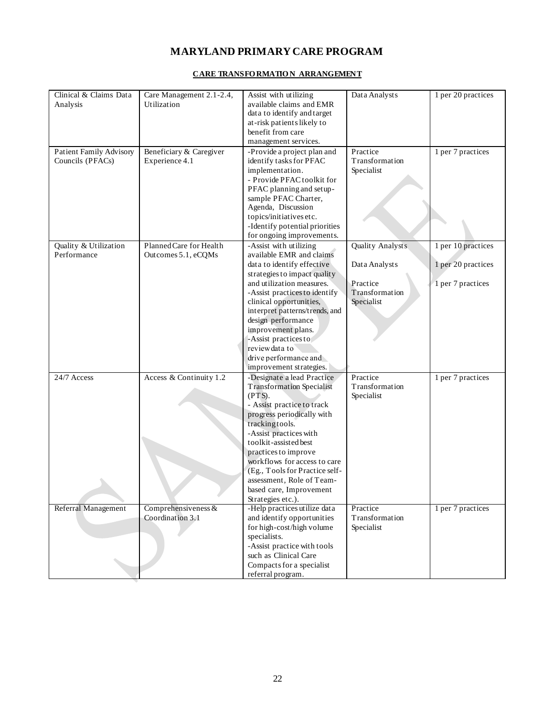| Clinical & Claims Data  | Care Management 2.1-2.4, | Assist with utilizing                                    | Data Analysts                | 1 per 20 practices |
|-------------------------|--------------------------|----------------------------------------------------------|------------------------------|--------------------|
| Analysis                | Utilization              | available claims and EMR                                 |                              |                    |
|                         |                          | data to identify and target                              |                              |                    |
|                         |                          | at-risk patients likely to                               |                              |                    |
|                         |                          | benefit from care                                        |                              |                    |
|                         |                          | management services.                                     |                              |                    |
| Patient Family Advisory | Beneficiary & Caregiver  | -Provide a project plan and                              | Practice                     | 1 per 7 practices  |
| Councils (PFACs)        | Experience 4.1           | identify tasks for PFAC                                  | Transformation               |                    |
|                         |                          | implementation.                                          | Specialist                   |                    |
|                         |                          | - Provide PFAC toolkit for                               |                              |                    |
|                         |                          | PFAC planning and setup-                                 |                              |                    |
|                         |                          | sample PFAC Charter,                                     |                              |                    |
|                         |                          | Agenda, Discussion                                       |                              |                    |
|                         |                          | topics/initiatives etc.                                  |                              |                    |
|                         |                          | -Identify potential priorities                           |                              |                    |
|                         |                          | for ongoing improvements.                                |                              |                    |
| Quality & Utilization   | Planned Care for Health  | -Assist with utilizing                                   | <b>Quality Analysts</b>      | 1 per 10 practices |
| Performance             | Outcomes 5.1, eCQMs      | available EMR and claims                                 |                              |                    |
|                         |                          | data to identify effective                               | Data Analysts                | 1 per 20 practices |
|                         |                          | strategies to impact quality                             |                              |                    |
|                         |                          | and utilization measures.                                | Practice                     | 1 per 7 practices  |
|                         |                          | -Assist practices to identify<br>clinical opportunities, | Transformation<br>Specialist |                    |
|                         |                          |                                                          |                              |                    |
|                         |                          | interpret patterns/trends, and<br>design performance     |                              |                    |
|                         |                          | improvement plans.                                       |                              |                    |
|                         |                          | -Assist practices to                                     |                              |                    |
|                         |                          | review data to                                           |                              |                    |
|                         |                          | drive performance and                                    |                              |                    |
|                         |                          | improvement strategies.                                  |                              |                    |
| 24/7 Access             | Access & Continuity 1.2  | -Designate a lead Practice                               | Practice                     | 1 per 7 practices  |
|                         |                          | <b>Transformation Specialist</b>                         | Transformation               |                    |
|                         |                          | (PTS).                                                   | Specialist                   |                    |
|                         |                          | - Assist practice to track                               |                              |                    |
|                         |                          | progress periodically with                               |                              |                    |
|                         |                          | tracking tools.                                          |                              |                    |
|                         |                          | -Assist practices with                                   |                              |                    |
|                         |                          | toolkit-assisted best                                    |                              |                    |
|                         |                          | practices to improve                                     |                              |                    |
|                         |                          | workflows for access to care                             |                              |                    |
|                         |                          | (Eg., Tools for Practice self-                           |                              |                    |
|                         |                          | assessment, Role of Team-                                |                              |                    |
|                         |                          | based care, Improvement                                  |                              |                    |
|                         | Comprehensiveness $&$    | Strategies etc.).<br>-Help practices utilize data        | Practice                     | 1 per 7 practices  |
| Referral Management     | Coordination 3.1         | and identify opportunities                               | Transformation               |                    |
|                         |                          | for high-cost/high volume                                | Specialist                   |                    |
|                         |                          | specialists.                                             |                              |                    |
|                         |                          | -Assist practice with tools                              |                              |                    |
|                         |                          | such as Clinical Care                                    |                              |                    |
|                         |                          | Compacts for a specialist                                |                              |                    |
|                         |                          | referral program.                                        |                              |                    |
|                         |                          |                                                          |                              |                    |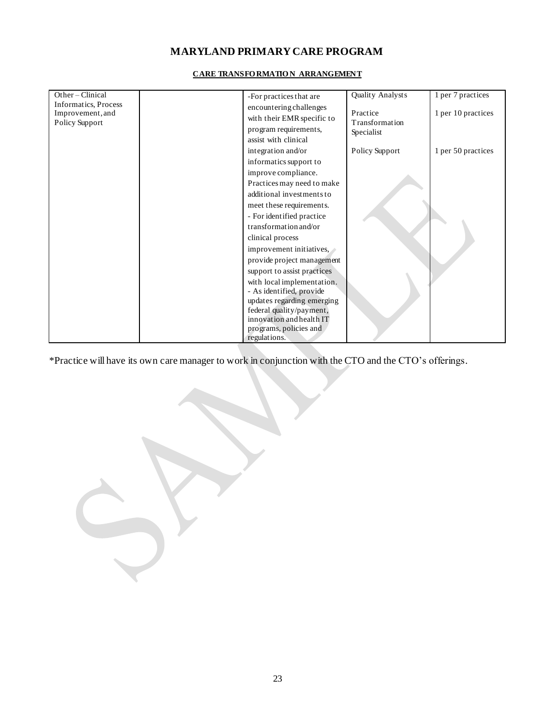| Other-Clinical              | -For practices that are     | Quality Analysts           | 1 per 7 practices  |
|-----------------------------|-----------------------------|----------------------------|--------------------|
| <b>Informatics, Process</b> | encountering challenges     |                            |                    |
| Improvement, and            | with their EMR specific to  | Practice<br>Transformation | 1 per 10 practices |
| Policy Support              | program requirements,       |                            |                    |
|                             | assist with clinical        | Specialist                 |                    |
|                             |                             |                            |                    |
|                             | integration and/or          | Policy Support             | 1 per 50 practices |
|                             | informatics support to      |                            |                    |
|                             | improve compliance.         |                            |                    |
|                             | Practices may need to make  |                            |                    |
|                             | additional investments to   |                            |                    |
|                             | meet these requirements.    |                            |                    |
|                             | - For identified practice   |                            |                    |
|                             | transformation and/or       |                            |                    |
|                             | clinical process            |                            |                    |
|                             | improvement initiatives,    |                            |                    |
|                             | provide project management  |                            |                    |
|                             | support to assist practices |                            |                    |
|                             | with local implementation.  |                            |                    |
|                             | - As identified, provide    |                            |                    |
|                             | updates regarding emerging  |                            |                    |
|                             | federal quality/payment,    |                            |                    |
|                             | innovation and health IT    |                            |                    |
|                             | programs, policies and      |                            |                    |
|                             | regulations.                |                            |                    |

#### **CARE TRANSFO RMATIO N ARRANGEMENT**

\*Practice will have its own care manager to work in conjunction with the CTO and the CTO's offerings.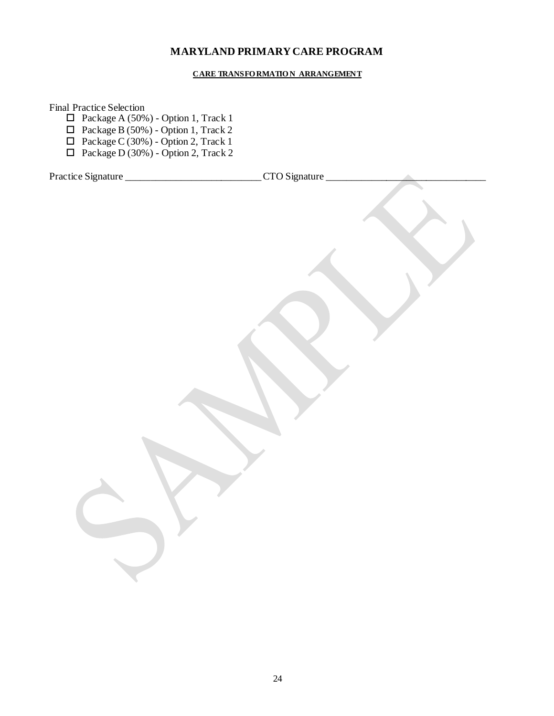#### **CARE TRANSFO RMATIO N ARRANGEMENT**

Final Practice Selection

- $\Box$  Package A (50%) Option 1, Track 1
- $\Box$  Package B (50%) Option 1, Track 2
- $\Box$  Package C (30%) Option 2, Track 1
- $\Box$  Package D (30%) Option 2, Track 2

| Practice Signature _ | CTO Signature_ |  |
|----------------------|----------------|--|
|                      |                |  |
|                      |                |  |
|                      |                |  |